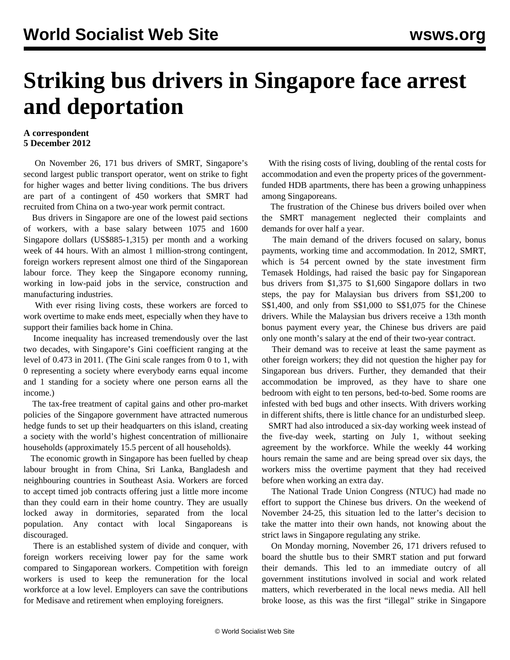## **Striking bus drivers in Singapore face arrest and deportation**

## **A correspondent 5 December 2012**

 On November 26, 171 bus drivers of SMRT, Singapore's second largest public transport operator, went on strike to fight for higher wages and better living conditions. The bus drivers are part of a contingent of 450 workers that SMRT had recruited from China on a two-year work permit contract.

 Bus drivers in Singapore are one of the lowest paid sections of workers, with a base salary between 1075 and 1600 Singapore dollars (US\$885-1,315) per month and a working week of 44 hours. With an almost 1 million-strong contingent, foreign workers represent almost one third of the Singaporean labour force. They keep the Singapore economy running, working in low-paid jobs in the service, construction and manufacturing industries.

 With ever rising living costs, these workers are forced to work overtime to make ends meet, especially when they have to support their families back home in China.

 Income inequality has increased tremendously over the last two decades, with Singapore's Gini coefficient ranging at the level of 0.473 in 2011. (The Gini scale ranges from 0 to 1, with 0 representing a society where everybody earns equal income and 1 standing for a society where one person earns all the income.)

 The tax-free treatment of capital gains and other pro-market policies of the Singapore government have attracted numerous hedge funds to set up their headquarters on this island, creating a society with the world's highest concentration of millionaire households (approximately 15.5 percent of all households).

 The economic growth in Singapore has been fuelled by cheap labour brought in from China, Sri Lanka, Bangladesh and neighbouring countries in Southeast Asia. Workers are forced to accept timed job contracts offering just a little more income than they could earn in their home country. They are usually locked away in dormitories, separated from the local population. Any contact with local Singaporeans is discouraged.

 There is an established system of divide and conquer, with foreign workers receiving lower pay for the same work compared to Singaporean workers. Competition with foreign workers is used to keep the remuneration for the local workforce at a low level. Employers can save the contributions for Medisave and retirement when employing foreigners.

 With the rising costs of living, doubling of the rental costs for accommodation and even the property prices of the governmentfunded HDB apartments, there has been a growing unhappiness among Singaporeans.

 The frustration of the Chinese bus drivers boiled over when the SMRT management neglected their complaints and demands for over half a year.

 The main demand of the drivers focused on salary, bonus payments, working time and accommodation. In 2012, SMRT, which is 54 percent owned by the state investment firm Temasek Holdings, had raised the basic pay for Singaporean bus drivers from \$1,375 to \$1,600 Singapore dollars in two steps, the pay for Malaysian bus drivers from S\$1,200 to S\$1,400, and only from S\$1,000 to S\$1,075 for the Chinese drivers. While the Malaysian bus drivers receive a 13th month bonus payment every year, the Chinese bus drivers are paid only one month's salary at the end of their two-year contract.

 Their demand was to receive at least the same payment as other foreign workers; they did not question the higher pay for Singaporean bus drivers. Further, they demanded that their accommodation be improved, as they have to share one bedroom with eight to ten persons, bed-to-bed. Some rooms are infested with bed bugs and other insects. With drivers working in different shifts, there is little chance for an undisturbed sleep.

 SMRT had also introduced a six-day working week instead of the five-day week, starting on July 1, without seeking agreement by the workforce. While the weekly 44 working hours remain the same and are being spread over six days, the workers miss the overtime payment that they had received before when working an extra day.

 The National Trade Union Congress (NTUC) had made no effort to support the Chinese bus drivers. On the weekend of November 24-25, this situation led to the latter's decision to take the matter into their own hands, not knowing about the strict laws in Singapore regulating any strike.

 On Monday morning, November 26, 171 drivers refused to board the shuttle bus to their SMRT station and put forward their demands. This led to an immediate outcry of all government institutions involved in social and work related matters, which reverberated in the local news media. All hell broke loose, as this was the first "illegal" strike in Singapore